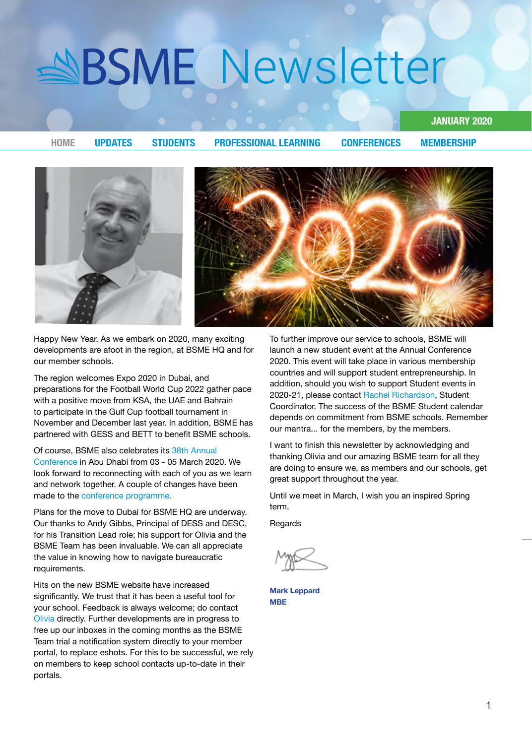<span id="page-0-0"></span>

Happy New Year. As we embark on 2020, many exciting developments are afoot in the region, at BSME HQ and for our member schools.

The region welcomes Expo 2020 in Dubai, and preparations for the Football World Cup 2022 gather pace with a positive move from KSA, the UAE and Bahrain to participate in the Gulf Cup football tournament in November and December last year. In addition, BSME has partnered with GESS and BETT to benefit BSME schools.

#### Of course. BSME also celebrates its 38th Annual

Conference in Abu Dhabi from 03 - 05 March 2020. We look forward to reconnecting with each of you as we learn and network together. A couple of changes have been made to the conference programme.

Plans for the move to Dubai for BSME HQ are underway. Our thanks to Andy Gibbs, Principal of DESS and DESC, for his Transition Lead role; his support for [Olivia](mailto:ceo%40bsme.org.uk?subject=) and the BSME Team has been invaluable. We can all appreciate the value in knowing how to navigate bureaucratic .requirements

Hits on the new BSME website have increased significantly. We trust that it has been a useful tool for your school. Feedback is always welcome; do contact [Olivia](mailto:ceo%40bsme.org.uk?subject=) directly. Further developments are in progress to free up our inboxes in the coming months as the BSME Team trial a notification system directly to your member portal, to replace eshots. For this to be successful, we rely on members to keep school contacts up-to-date in their portals.

To further improve our service to schools, BSME will launch a new student event at the Annual Conference 2020. This event will take place in various membership countries and will support student entrepreneurship. In addition, should you wish to support Student events in 2020-21, please contact Rachel Richardson, Student Coordinator. The success of the BSME Student calendar depends on commitment from BSME schools. Remember our mantra ... for the members, by the members.

**2020 JANUARY**

I want to finish this newsletter by acknowledging and thanking Olivia and our amazing BSME team for all they are doing to ensure we, as members and our schools, get great support throughout the year.

Until we meet in March, I wish you an inspired Spring term.

**Regards** 

**Mark Leppard MBE**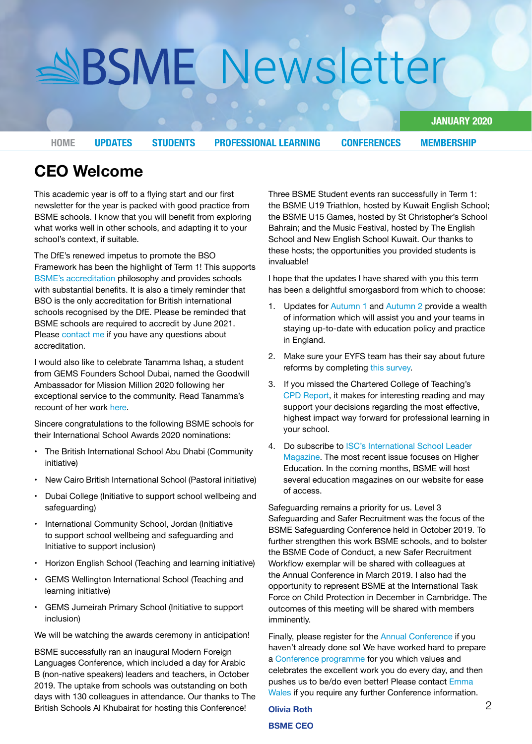**2020 JANUARY**

**[HOME](#page-0-0) UPDATES STUDENTS PROFESSIONAL LEARNING CONFERENCES [MEMBERSHIP](#page-7-0)** 

**Welcome CEO**

This academic year is off to a flying start and our first newsletter for the year is packed with good practice from BSME schools. I know that you will benefit from exploring what works well in other schools, and adapting it to your school's context, if suitable.

The DfE's renewed impetus to promote the BSO Framework has been the highlight of Term 1! This supports BSME's accreditation philosophy and provides schools with substantial benefits. It is also a timely reminder that BSO is the only accreditation for British international schools recognised by the DfE. Please be reminded that BSME schools are required to accredit by June 2021. Please contact me if you have any questions about .accreditation

I would also like to celebrate Tanamma Ishaq, a student from GEMS Founders School Dubai, named the Goodwill Ambassador for Mission Million 2020 following her exceptional service to the community. Read Tanamma's recount of her work here.

Sincere congratulations to the following BSME schools for their International School Awards 2020 nominations:

- The British International School Abu Dhabi (Community initiative)
- New Cairo British International School (Pastoral initiative)
- Dubai College (Initiative to support school wellbeing and safeguarding)
- International Community School, Jordan (Initiative to support school wellbeing and safeguarding and Initiative to support inclusion)
- Horizon English School (Teaching and learning initiative)
- GEMS Wellington International School (Teaching and learning initiative)
- GEMS Jumeirah Primary School (Initiative to support inclusion)

We will be watching the awards ceremony in anticipation!

BSME successfully ran an inaugural Modern Foreign Languages Conference, which included a day for Arabic B (non-native speakers) leaders and teachers, in October 2019. The uptake from schools was outstanding on both days with 130 colleagues in attendance. Our thanks to The British Schools Al Khubairat for hosting this Conference!

Three BSME Student events ran successfully in Term 1: the BSME U19 Triathlon, hosted by Kuwait English School; the BSME U15 Games, hosted by St Christopher's School Bahrain; and the Music Festival, hosted by The English School and New English School Kuwait. Our thanks to these hosts; the opportunities you provided students is invaluable!

I hope that the updates I have shared with you this term has been a delightful smorgasbord from which to choose:

- 1. Updates for Autumn 1 and Autumn 2 provide a wealth of information which will assist you and your teams in staying up-to-date with education policy and practice in England.
- 2. Make sure your EYFS team has their say about future reforms by completing this survey.
- 3. If you missed the Chartered College of Teaching's CPD Report, it makes for interesting reading and may support your decisions regarding the most effective, highest impact way forward for professional learning in vour school.
- 4. Do subscribe to ISC's International School Leader [Magazine](https://www.islmagazine.com/magazine). The most recent issue focuses on Higher Education. In the coming months, BSME will host several education magazines on our website for ease of access.

Safeguarding remains a priority for us. Level 3 Safeguarding and Safer Recruitment was the focus of the BSME Safeguarding Conference held in October 2019. To further strengthen this work BSME schools, and to bolster the BSME Code of Conduct, a new Safer Recruitment Workflow exemplar will be shared with colleagues at the Annual Conference in March 2019. I also had the opportunity to represent BSME at the International Task Force on Child Protection in December in Cambridge. The outcomes of this meeting will be shared with members imminently.

Finally, pl[e](https://www.bsme.org.uk/annual-conference)ase register for the Annual Conference if you haven't already done so! We have worked hard to prepare a Conference programme for you which values and celebrates the excellent work you do every day, and then pushes us to be/do even better! Please contact [Emma](mailto:business%40bsme.org.uk?subject=) [Wales](mailto:business%40bsme.org.uk?subject=) if you require any further Conference information.

**Olivia Roth BSME CFO**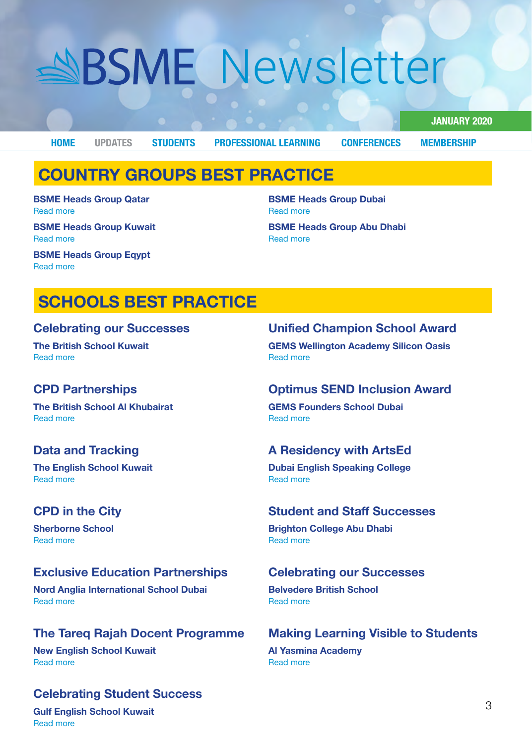<span id="page-2-0"></span>**[MEMBERSHIP](#page-7-0) [CONFERENCES](#page-6-0) [LEARNING PROFESSIONAL](#page-4-0) [STUDENTS](#page-3-0) UPDATES [HOME](#page-0-0)**

**Read more** 

Read more

**2020 JANUARY**

## **COUNTRY GROUPS BEST PRACTICE**

**BSME Heads Group Qatar Read more** 

**BSME Heads Group Kuwait Read more** 

**ESME Heads Group Eqypt Read more** 

## **SCHOOLS BEST PRACTICE**

#### **Celebrating our Successes**

**The British School Kuwait** Read more

## **CPD** Partnerships

**The British School Al Khubairat Read more** 

### **Data and Tracking**

**The English School Kuwait** Read more

## **CPD** in the City

**Sherborne School Read more** 

## **Exclusive Education Partnerships**

**Nord Anglia International School Dubai** Read more

## **The Tareg Rajah Docent Programme**

**New English School Kuwait** Read more

## **Celebrating Student Success**

**Unified Champion School Award** 

**GEMS Wellington Academy Silicon Oasis Read more** 

### **August Optimus SEND Inclusion Award**

**GEMS Founders School Dubai Read more** 

**BSME Heads Group Dubai** 

**BSME Heads Group Abu Dhabi** 

### **A Residency with ArtsEd**

**Dubai English Speaking College Read more** 

#### **Student and Staff Successes**

**Brighton College Abu Dhabi** Read more

### **Celebrating our Successes**

**Belvedere British School** Read more

## **Making Learning Visible to Students**

**Al Yasmina Academy** Read more

**Gulf English School Kuwait Read more**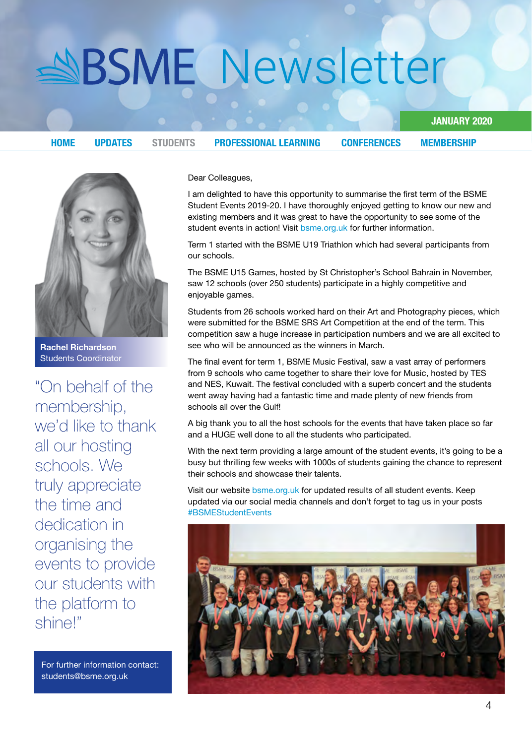<span id="page-3-0"></span>**[HOME](#page-0-0) [UPDATES](#page-2-0)** STUDENTS **PROFESSIONAL LEARNING CONFERENCES [MEMBERSHIP](#page-7-0)** 

**2020 JANUARY**

**Richardson Rachel Students Coordinator** 

"On behalf of the membership, we'd like to thank all our hosting schools, We truly appreciate the time and dedication in organising the events to provide our students with the platform to shine!"

For further information contact: students@bsme.org.uk

Dear Colleagues,

I am delighted to have this opportunity to summarise the first term of the BSME Student Events 2019-20. I have thoroughly enjoyed getting to know our new and existing members and it was great to have the opportunity to see some of the student events in action! Visit bsme org.uk for further information.

Term 1 started with the BSME U19 Triathlon which had several participants from our schools.

The BSME U15 Games, hosted by St Christopher's School Bahrain in November, saw 12 schools (over 250 students) participate in a highly competitive and enjoyable games.

Students from 26 schools worked hard on their Art and Photography pieces, which were submitted for the BSME SRS Art Competition at the end of the term. This competition saw a huge increase in participation numbers and we are all excited to see who will be announced as the winners in March.

The final event for term 1, BSME Music Festival, saw a vast array of performers from 9 schools who came together to share their love for Music, hosted by TES and NES, Kuwait. The festival concluded with a superb concert and the students went away having had a fantastic time and made plenty of new friends from schools all over the Gulf!

A big thank you to all the host schools for the events that have taken place so far and a HUGE well done to all the students who participated.

With the next term providing a large amount of the student events, it's going to be a busy but thrilling few weeks with 1000s of students gaining the chance to represent their schools and showcase their talents.

Visit our website bsme.org.uk for updated results of all student events. Keep updated via our social media channels and don't forget to tag us in your posts #BSMEStudentEvents

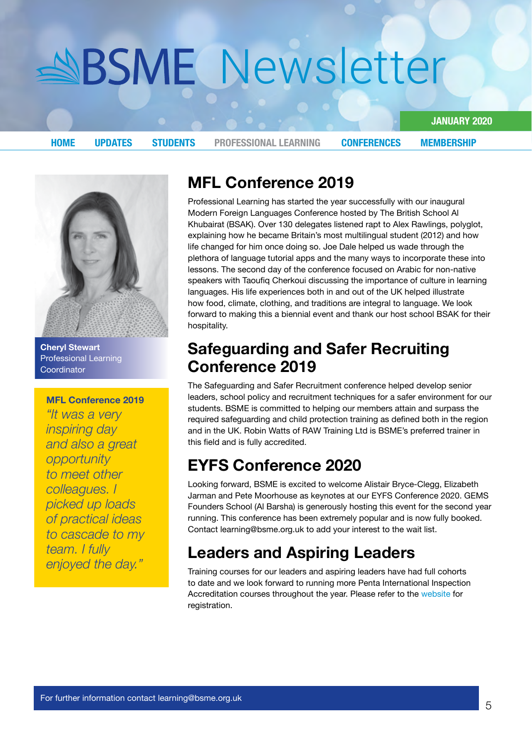**2020 JANUARY**

<span id="page-4-0"></span>**[HOME](#page-0-0) UPDATES [STUDENTS](#page-3-0)** PROFESSIONAL LEARNING **CONFERENCES [MEMBERSHIP](#page-7-0)** 



**Cheryl Stewart Professional Learning Coordinator** 

**MFL Conference 2019** 

*"It was a very day inspiring* and also a great  *opportunity* to meet other  *I .colleagues loads up picked of practical ideas* to cascade to my *feam. I fully* enjoyed the day."

## **2019 Conference MFL**

Professional Learning has started the year successfully with our inaugural Modern Foreign Languages Conference hosted by The British School Al Khubairat (BSAK). Over 130 delegates listened rapt to Alex Rawlings, polyglot, explaining how he became Britain's most multilingual student (2012) and how life changed for him once doing so. Joe Dale helped us wade through the plethora of language tutorial apps and the many ways to incorporate these into lessons. The second day of the conference focused on Arabic for non-native speakers with Taoufig Cherkoui discussing the importance of culture in learning languages. His life experiences both in and out of the UK helped illustrate how food, climate, clothing, and traditions are integral to language. We look forward to making this a biennial event and thank our host school BSAK for their hospitality.

## **Safeguarding and Safer Recruiting 2019 Conference**

The Safeguarding and Safer Recruitment conference helped develop senior leaders, school policy and recruitment techniques for a safer environment for our students. BSME is committed to helping our members attain and surpass the required safequarding and child protection training as defined both in the region and in the UK. Robin Watts of RAW Training Ltd is BSME's preferred trainer in this field and is fully accredited.

## **EYFS Conference 2020**

Looking forward, BSME is excited to welcome Alistair Bryce-Clegg, Elizabeth Jarman and Pete Moorhouse as keynotes at our EYFS Conference 2020. GEMS Founders School (Al Barsha) is generously hosting this event for the second year running. This conference has been extremely popular and is now fully booked. Contact learning@bsme.org.uk to add your interest to the wait list.

## **Leaders and Aspiring Leaders**

Training courses for our leaders and aspiring leaders have had full cohorts to date and we look forward to running more Penta International Inspection Accreditation courses throughout the year. Please refer to the [website](https://www.bsme.org.uk/professional-learning/courses) for .registration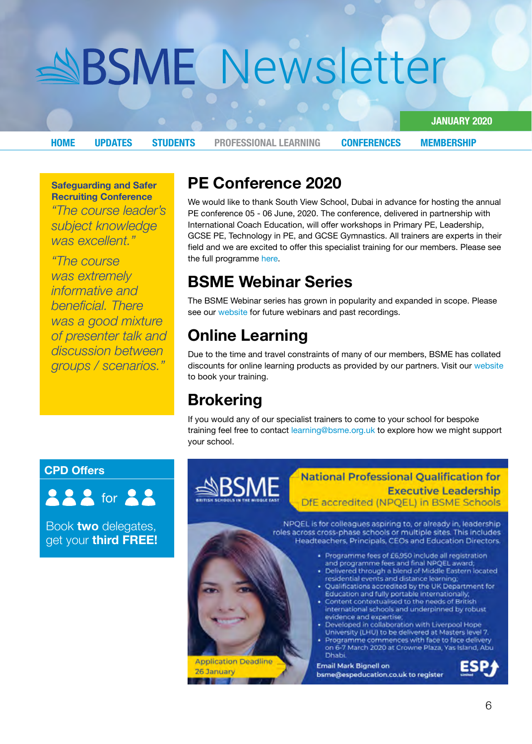**2020 JANUARY**

**[HOME](#page-0-0) UPDATES [STUDENTS](#page-3-0)** PROFESSIONAL LEARNING **CONFERENCES [MEMBERSHIP](#page-7-0)** 

**Safeguarding and Safer Recruiting Conference** 

*"The course leader's* subject knowledge was excellent."

*"The course* was extremely *informative* and  *There .beneficial* was a good mixture *<i>a* of presenter talk and  *between discussion ".scenarios / groups*

## **PE Conference 2020**

We would like to thank South View School, Dubai in advance for hosting the annual PE conference 05 - 06 June, 2020. The conference, delivered in partnership with International Coach Education, will offer workshops in Primary PE, Leadership, GCSE PE, Technology in PE, and GCSE Gymnastics. All trainers are experts in their field and we are excited to offer this specialist training for our members. Please see th[e](https://resources.finalsite.net/images/v1573111159/bsmeorguk/mehmpuqm9rdeb9h7tfrh/PEConference_2020_Overview_04Nov1.pdf) full programme here.

## **BSME Webinar Series**

The BSME Webinar series has grown in popularity and expanded in scope. Please see our [website](https://www.bsme.org.uk/professional-learning/webinars) for future webinars and past recordings.

## **Online Learning**

Due to the time and travel constraints of many of our members, BSME has collated discounts for online learning products as provided by our partners. Visit our [website](https://www.bsme.org.uk/professional-learning/online-learning) to book your training.

## **Brokering**

If you would any of our specialist trainers to come to your school for bespoke training feel free to contact learning@bsme.org.uk to explore how we might support vour school.

### **CPD** Offers



Book **two** delegates, get your **third FREE!** 

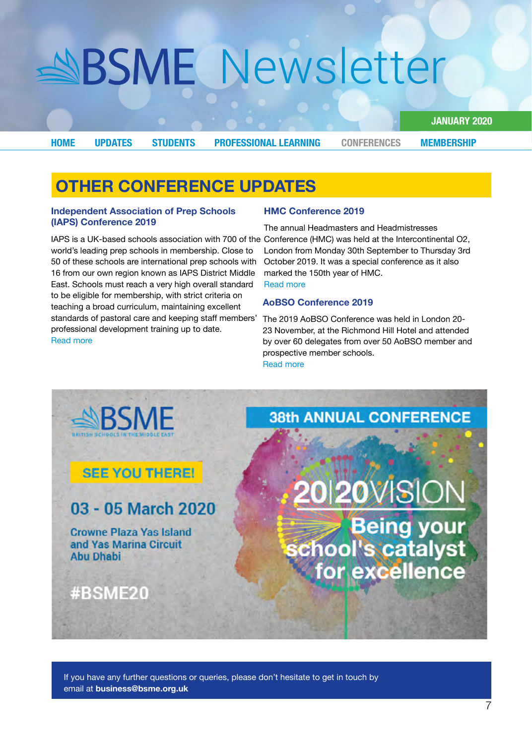**2020 JANUARY**

<span id="page-6-0"></span>**[HOME](#page-0-0) UPDATES [STUDENTS](#page-3-0) PROFESSIONAL LEARNING** CONFERENCES **[MEMBERSHIP](#page-7-0)** 

## **OTHER CONFERENCE UPDATES**

#### **Independent Association of Prep Schools (IAPS) Conference 2019**

world's leading prep schools in membership. Close to 50 of these schools are international prep schools with 16 from our own region known as IAPS District Middle East. Schools must reach a very high overall standard to be eligible for membership, with strict criteria on teaching a broad curriculum, maintaining excellent standards of pastoral care and keeping staff members' professional development training up to date. Read more

#### **2019 Conference HMC**

IAPS is a UK-based schools association with 700 of the Conference (HMC) was held at the Intercontinental O2, The annual Headmasters and Headmistresses London from Monday 30th September to Thursday 3rd October 2019. It was a special conference as it also marked the 150th year of HMC. Read more

#### **2019 Conference AoBSO**

The 2019 AoBSO Conference was held in London 20-23 November, at the Richmond Hill Hotel and attended by over 60 delegates from over 50 AoBSO member and prospective member schools. **Read more** 

**SRSMF 38th ANNUAL CONFERENCE SEE YOU THERE!** 0120VISION 03 - 05 March 2020 Being your<br>chool's catalyst<br>for excellence **Crowne Plaza Yas Island** and Yas Marina Circuit **Abu Dhabi** #BSME20

If you have any further questions or queries, please don't hesitate to get in touch by email at **business@bsme.org.uk**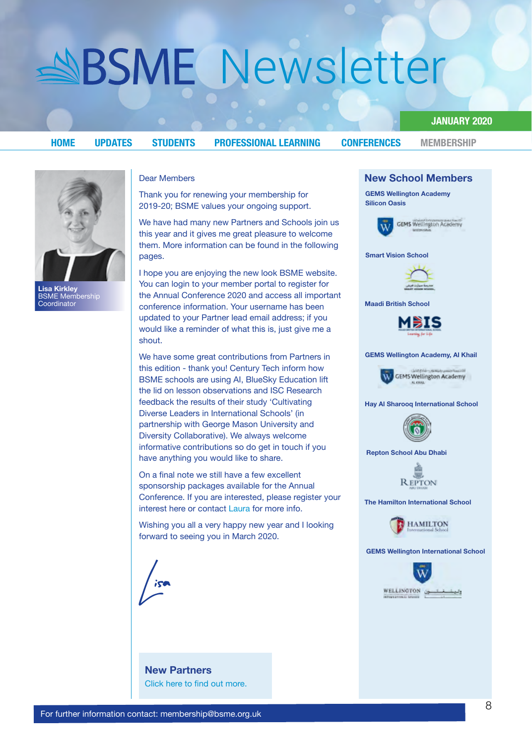#### **2020 JANUARY**

<span id="page-7-0"></span>**[HOME](#page-0-0)** UPDATES STUDENTS PROFESSIONAL\_LEARNING [CONFERENCES](#page-6-0) MEMBERSHIP



**Kirkley Lisa** BSME Membership **Coordinator** 

#### Dear Members

Thank you for renewing your membership for 2019-20; BSME values your ongoing support.

We have had many new Partners and Schools join us this year and it gives me great pleasure to welcome them. More information can be found in the following pages.

I hope you are enjoying the new look BSME website. You can login to your member portal to register for the Annual Conference 2020 and access all important conference information. Your username has been updated to your Partner lead email address; if you would like a reminder of what this is, just give me a shout.

We have some great contributions from Partners in this edition - thank you! Century Tech inform how BSME schools are using AI, BlueSky Education lift the lid on lesson observations and ISC Research feedback the results of their study 'Cultivating Diverse Leaders in International Schools' (in partnership with George Mason University and Diversity Collaborative). We always welcome informative contributions so do get in touch if you have anything you would like to share.

On a final note we still have a few excellent sponsorship packages available for the Annual Conference. If you are interested, please register your interest here or contact [Laura](mailto:administrator%40bsme.org.uk?subject=) for more info.

Wishing you all a very happy new year and I looking forward to seeing you in March 2020.



### **New Partners** Click here to find out more.



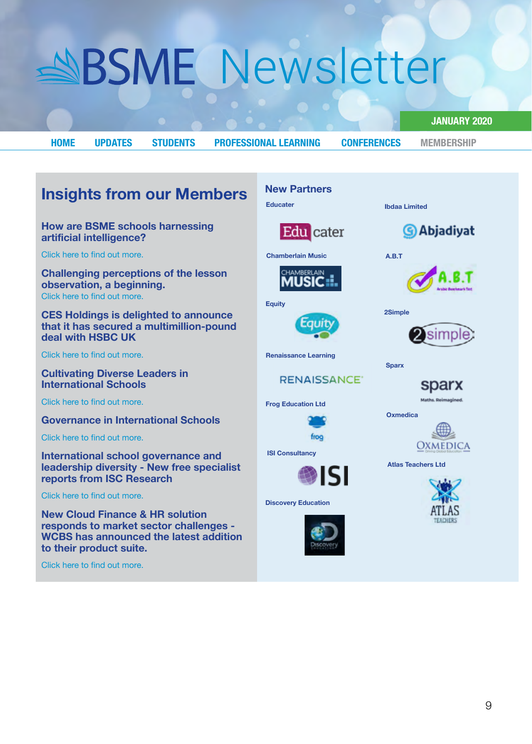<span id="page-8-0"></span>**[HOME](#page-0-0)** UPDATES STUDENTS PROFESSIONAL\_LEARNING CONFERENCES [MEMBERSHIP](#page-7-0)

**New Partners** 

**2020 JANUARY**

## **Insights from our Members**

#### **How are BSME schools harnessing artificial intelligence?**

Click here to find out more.

**Challenging perceptions of the lesson observation**, a beginning. Click here to find out more

**CES Holdings is delighted to announce** that it has secured a multimillion-pound **deal with HSBC UK** 

Click here to find out more.

**Cultivating Diverse Leaders in International Schools** 

Click here to find out more.

**Governance in International Schools** 

Click here to find out more

**International school governance and leadership diversity - New free specialist reports from ISC Research** 

Click here to find out more.

**New Cloud Finance & HR solution responds to market sector challenges -WCBS** has announced the latest addition to their product suite.

Click here to find out more.